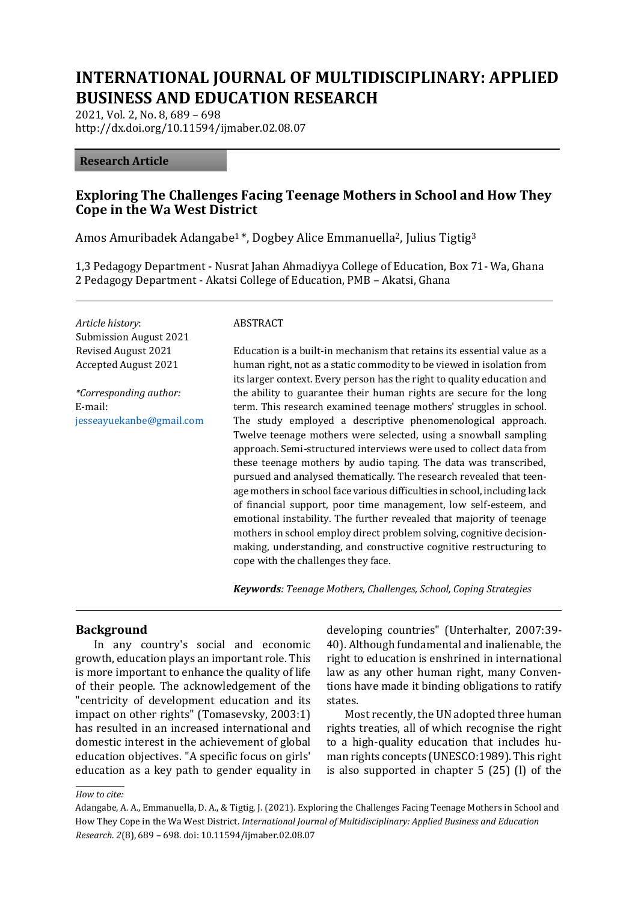# **INTERNATIONAL JOURNAL OF MULTIDISCIPLINARY: APPLIED BUSINESS AND EDUCATION RESEARCH**

2021, Vol. 2, No. 8, 689 – 698 http://dx.doi.org/10.11594/ijmaber.02.08.07

#### **Research Article**

### **Exploring The Challenges Facing Teenage Mothers in School and How They Cope in the Wa West District**

Amos Amuribadek Adangabe<sup>1</sup>\*, Dogbey Alice Emmanuella<sup>2</sup>, Julius Tigtig<sup>3</sup>

1,3 Pedagogy Department - Nusrat Jahan Ahmadiyya College of Education, Box 71- Wa, Ghana 2 Pedagogy Department - Akatsi College of Education, PMB – Akatsi, Ghana

*Article history*: Submission August 2021 Revised August 2021 Accepted August 2021

*\*Corresponding author:* E-mail: [jesseayuekanbe@gmail.com](mailto:jesseayuekanbe@gmail.com)

#### ABSTRACT

Education is a built-in mechanism that retains its essential value as a human right, not as a static commodity to be viewed in isolation from its larger context. Every person has the right to quality education and the ability to guarantee their human rights are secure for the long term. This research examined teenage mothers' struggles in school. The study employed a descriptive phenomenological approach. Twelve teenage mothers were selected, using a snowball sampling approach. Semi-structured interviews were used to collect data from these teenage mothers by audio taping. The data was transcribed, pursued and analysed thematically. The research revealed that teenage mothers in school face various difficulties in school, including lack of financial support, poor time management, low self-esteem, and emotional instability. The further revealed that majority of teenage mothers in school employ direct problem solving, cognitive decisionmaking, understanding, and constructive cognitive restructuring to cope with the challenges they face.

*Keywords: Teenage Mothers, Challenges, School, Coping Strategies*

#### **Background**

In any country's social and economic growth, education plays an important role. This is more important to enhance the quality of life of their people. The acknowledgement of the "centricity of development education and its impact on other rights" (Tomasevsky, 2003:1) has resulted in an increased international and domestic interest in the achievement of global education objectives. "A specific focus on girls' education as a key path to gender equality in developing countries" (Unterhalter, 2007:39- 40). Although fundamental and inalienable, the right to education is enshrined in international law as any other human right, many Conventions have made it binding obligations to ratify states.

Most recently, the UN adopted three human rights treaties, all of which recognise the right to a high-quality education that includes human rights concepts (UNESCO:1989). This right is also supported in chapter 5 (25) (l) of the

#### *How to cite:*

Adangabe, A. A., Emmanuella, D. A., & Tigtig, J. (2021). Exploring the Challenges Facing Teenage Mothers in School and How They Cope in the Wa West District. *International Journal of Multidisciplinary: Applied Business and Education Research*. *2*(8), 689 – 698. doi: 10.11594/ijmaber.02.08.07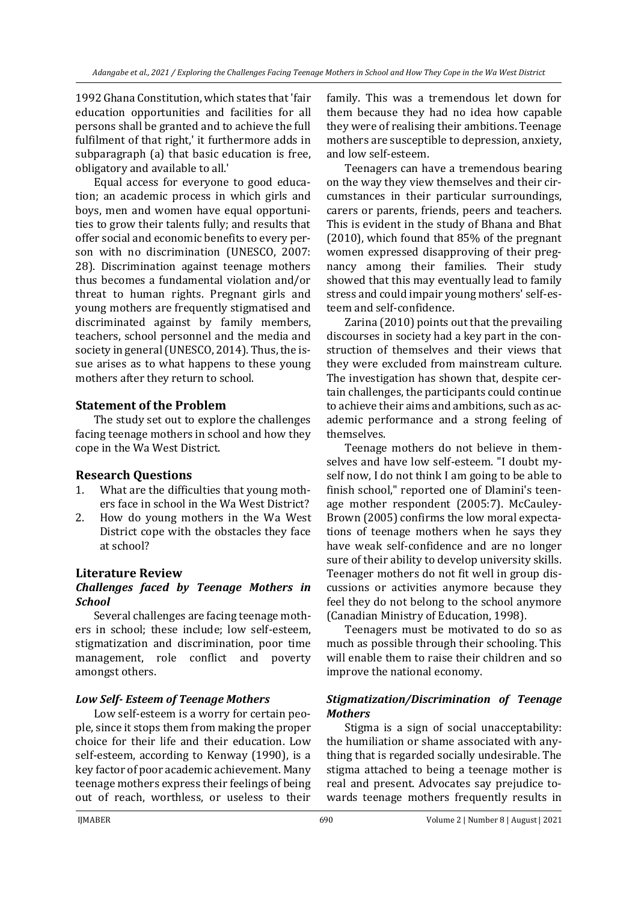1992 Ghana Constitution, which states that 'fair education opportunities and facilities for all persons shall be granted and to achieve the full fulfilment of that right,' it furthermore adds in subparagraph (a) that basic education is free, obligatory and available to all.'

Equal access for everyone to good education; an academic process in which girls and boys, men and women have equal opportunities to grow their talents fully; and results that offer social and economic benefits to every person with no discrimination (UNESCO, 2007: 28). Discrimination against teenage mothers thus becomes a fundamental violation and/or threat to human rights. Pregnant girls and young mothers are frequently stigmatised and discriminated against by family members, teachers, school personnel and the media and society in general (UNESCO, 2014). Thus, the issue arises as to what happens to these young mothers after they return to school.

# **Statement of the Problem**

The study set out to explore the challenges facing teenage mothers in school and how they cope in the Wa West District.

# **Research Questions**

- 1. What are the difficulties that young mothers face in school in the Wa West District?
- 2. How do young mothers in the Wa West District cope with the obstacles they face at school?

# **Literature Review**

#### *Challenges faced by Teenage Mothers in School*

Several challenges are facing teenage mothers in school; these include; low self-esteem, stigmatization and discrimination, poor time management, role conflict and poverty amongst others.

# *Low Self- Esteem of Teenage Mothers*

Low self-esteem is a worry for certain people, since it stops them from making the proper choice for their life and their education. Low self-esteem, according to Kenway (1990), is a key factor of poor academic achievement. Many teenage mothers express their feelings of being out of reach, worthless, or useless to their

family. This was a tremendous let down for them because they had no idea how capable they were of realising their ambitions. Teenage mothers are susceptible to depression, anxiety, and low self-esteem.

Teenagers can have a tremendous bearing on the way they view themselves and their circumstances in their particular surroundings, carers or parents, friends, peers and teachers. This is evident in the study of Bhana and Bhat (2010), which found that 85% of the pregnant women expressed disapproving of their pregnancy among their families. Their study showed that this may eventually lead to family stress and could impair young mothers' self-esteem and self-confidence.

Zarina (2010) points out that the prevailing discourses in society had a key part in the construction of themselves and their views that they were excluded from mainstream culture. The investigation has shown that, despite certain challenges, the participants could continue to achieve their aims and ambitions, such as academic performance and a strong feeling of themselves.

Teenage mothers do not believe in themselves and have low self-esteem. "I doubt myself now, I do not think I am going to be able to finish school," reported one of Dlamini's teenage mother respondent (2005:7). McCauley-Brown (2005) confirms the low moral expectations of teenage mothers when he says they have weak self-confidence and are no longer sure of their ability to develop university skills. Teenager mothers do not fit well in group discussions or activities anymore because they feel they do not belong to the school anymore (Canadian Ministry of Education, 1998).

Teenagers must be motivated to do so as much as possible through their schooling. This will enable them to raise their children and so improve the national economy.

### *Stigmatization/Discrimination of Teenage Mothers*

Stigma is a sign of social unacceptability: the humiliation or shame associated with anything that is regarded socially undesirable. The stigma attached to being a teenage mother is real and present. Advocates say prejudice towards teenage mothers frequently results in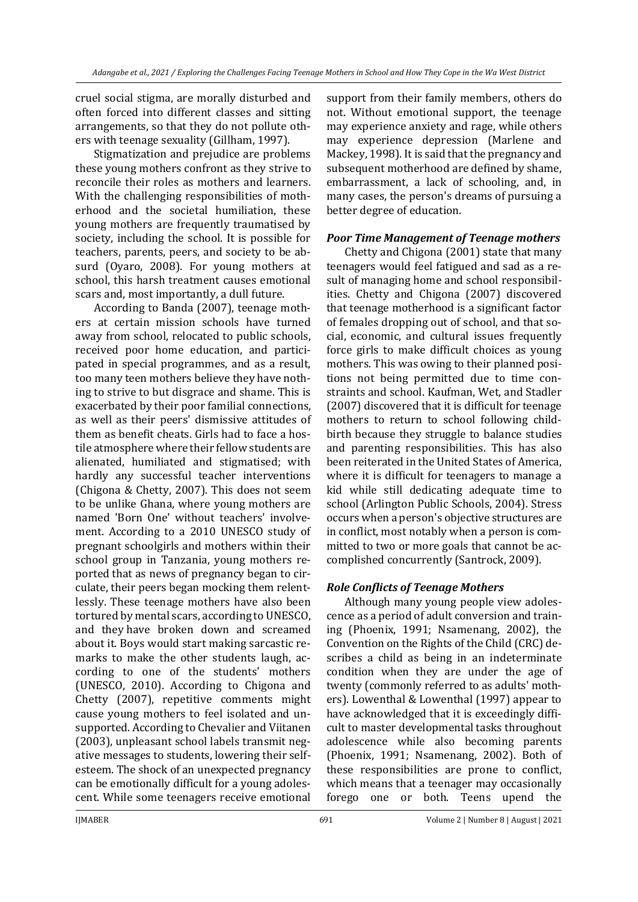cruel social stigma, are morally disturbed and often forced into different classes and sitting arrangements, so that they do not pollute others with teenage sexuality (Gillham, 1997).

Stigmatization and prejudice are problems these young mothers confront as they strive to reconcile their roles as mothers and learners. With the challenging responsibilities of motherhood and the societal humiliation, these young mothers are frequently traumatised by society, including the school. It is possible for teachers, parents, peers, and society to be absurd (Oyaro, 2008). For young mothers at school, this harsh treatment causes emotional scars and, most importantly, a dull future.

According to Banda (2007), teenage mothers at certain mission schools have turned away from school, relocated to public schools, received poor home education, and participated in special programmes, and as a result, too many teen mothers believe they have nothing to strive to but disgrace and shame. This is exacerbated by their poor familial connections, as well as their peers' dismissive attitudes of them as benefit cheats. Girls had to face a hostile atmosphere where their fellow students are alienated, humiliated and stigmatised; with hardly any successful teacher interventions (Chigona & Chetty, 2007). This does not seem to be unlike Ghana, where young mothers are named 'Born One' without teachers' involvement. According to a 2010 UNESCO study of pregnant schoolgirls and mothers within their school group in Tanzania, young mothers reported that as news of pregnancy began to circulate, their peers began mocking them relentlessly. These teenage mothers have also been tortured by mental scars, according to UNESCO, and they have broken down and screamed about it. Boys would start making sarcastic remarks to make the other students laugh, according to one of the students' mothers (UNESCO, 2010). According to Chigona and Chetty (2007), repetitive comments might cause young mothers to feel isolated and unsupported. According to Chevalier and Viitanen (2003), unpleasant school labels transmit negative messages to students, lowering their selfesteem. The shock of an unexpected pregnancy can be emotionally difficult for a young adolescent. While some teenagers receive emotional

support from their family members, others do not. Without emotional support, the teenage may experience anxiety and rage, while others may experience depression (Marlene and Mackey, 1998). It is said that the pregnancy and subsequent motherhood are defined by shame, embarrassment, a lack of schooling, and, in many cases, the person's dreams of pursuing a better degree of education.

#### *Poor Time Management of Teenage mothers*

Chetty and Chigona (2001) state that many teenagers would feel fatigued and sad as a result of managing home and school responsibilities. Chetty and Chigona (2007) discovered that teenage motherhood is a significant factor of females dropping out of school, and that social, economic, and cultural issues frequently force girls to make difficult choices as young mothers. This was owing to their planned positions not being permitted due to time constraints and school. Kaufman, Wet, and Stadler (2007) discovered that it is difficult for teenage mothers to return to school following childbirth because they struggle to balance studies and parenting responsibilities. This has also been reiterated in the United States of America, where it is difficult for teenagers to manage a kid while still dedicating adequate time to school (Arlington Public Schools, 2004). Stress occurs when a person's objective structures are in conflict, most notably when a person is committed to two or more goals that cannot be accomplished concurrently (Santrock, 2009).

#### *Role Conflicts of Teenage Mothers*

Although many young people view adolescence as a period of adult conversion and training (Phoenix, 1991; Nsamenang, 2002), the Convention on the Rights of the Child (CRC) describes a child as being in an indeterminate condition when they are under the age of twenty (commonly referred to as adults' mothers). Lowenthal & Lowenthal (1997) appear to have acknowledged that it is exceedingly difficult to master developmental tasks throughout adolescence while also becoming parents (Phoenix, 1991; Nsamenang, 2002). Both of these responsibilities are prone to conflict, which means that a teenager may occasionally forego one or both. Teens upend the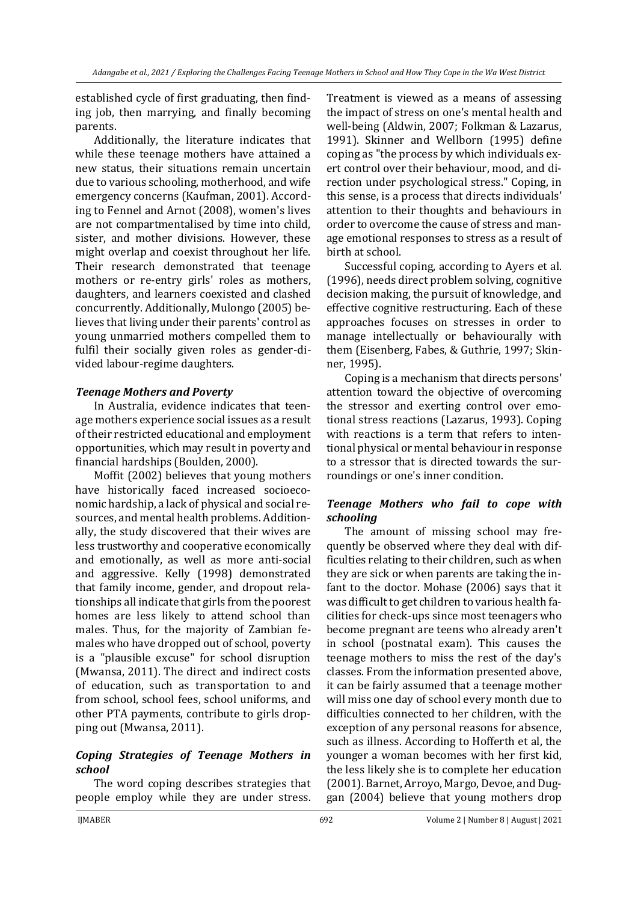established cycle of first graduating, then finding job, then marrying, and finally becoming parents.

Additionally, the literature indicates that while these teenage mothers have attained a new status, their situations remain uncertain due to various schooling, motherhood, and wife emergency concerns (Kaufman, 2001). According to Fennel and Arnot (2008), women's lives are not compartmentalised by time into child, sister, and mother divisions. However, these might overlap and coexist throughout her life. Their research demonstrated that teenage mothers or re-entry girls' roles as mothers, daughters, and learners coexisted and clashed concurrently. Additionally, Mulongo (2005) believes that living under their parents' control as young unmarried mothers compelled them to fulfil their socially given roles as gender-divided labour-regime daughters.

# *Teenage Mothers and Poverty*

In Australia, evidence indicates that teenage mothers experience social issues as a result of their restricted educational and employment opportunities, which may result in poverty and financial hardships (Boulden, 2000).

Moffit (2002) believes that young mothers have historically faced increased socioeconomic hardship, a lack of physical and social resources, and mental health problems. Additionally, the study discovered that their wives are less trustworthy and cooperative economically and emotionally, as well as more anti-social and aggressive. Kelly (1998) demonstrated that family income, gender, and dropout relationships all indicate that girls from the poorest homes are less likely to attend school than males. Thus, for the majority of Zambian females who have dropped out of school, poverty is a "plausible excuse" for school disruption (Mwansa, 2011). The direct and indirect costs of education, such as transportation to and from school, school fees, school uniforms, and other PTA payments, contribute to girls dropping out (Mwansa, 2011).

# *Coping Strategies of Teenage Mothers in school*

The word coping describes strategies that people employ while they are under stress. Treatment is viewed as a means of assessing the impact of stress on one's mental health and well-being (Aldwin, 2007; Folkman & Lazarus, 1991). Skinner and Wellborn (1995) define coping as "the process by which individuals exert control over their behaviour, mood, and direction under psychological stress." Coping, in this sense, is a process that directs individuals' attention to their thoughts and behaviours in order to overcome the cause of stress and manage emotional responses to stress as a result of birth at school.

Successful coping, according to Ayers et al. (1996), needs direct problem solving, cognitive decision making, the pursuit of knowledge, and effective cognitive restructuring. Each of these approaches focuses on stresses in order to manage intellectually or behaviourally with them (Eisenberg, Fabes, & Guthrie, 1997; Skinner, 1995).

Coping is a mechanism that directs persons' attention toward the objective of overcoming the stressor and exerting control over emotional stress reactions (Lazarus, 1993). Coping with reactions is a term that refers to intentional physical or mental behaviour in response to a stressor that is directed towards the surroundings or one's inner condition.

# *Teenage Mothers who fail to cope with schooling*

The amount of missing school may frequently be observed where they deal with difficulties relating to their children, such as when they are sick or when parents are taking the infant to the doctor. Mohase (2006) says that it was difficult to get children to various health facilities for check-ups since most teenagers who become pregnant are teens who already aren't in school (postnatal exam). This causes the teenage mothers to miss the rest of the day's classes. From the information presented above, it can be fairly assumed that a teenage mother will miss one day of school every month due to difficulties connected to her children, with the exception of any personal reasons for absence, such as illness. According to Hofferth et al, the younger a woman becomes with her first kid, the less likely she is to complete her education (2001). Barnet, Arroyo, Margo, Devoe, and Duggan (2004) believe that young mothers drop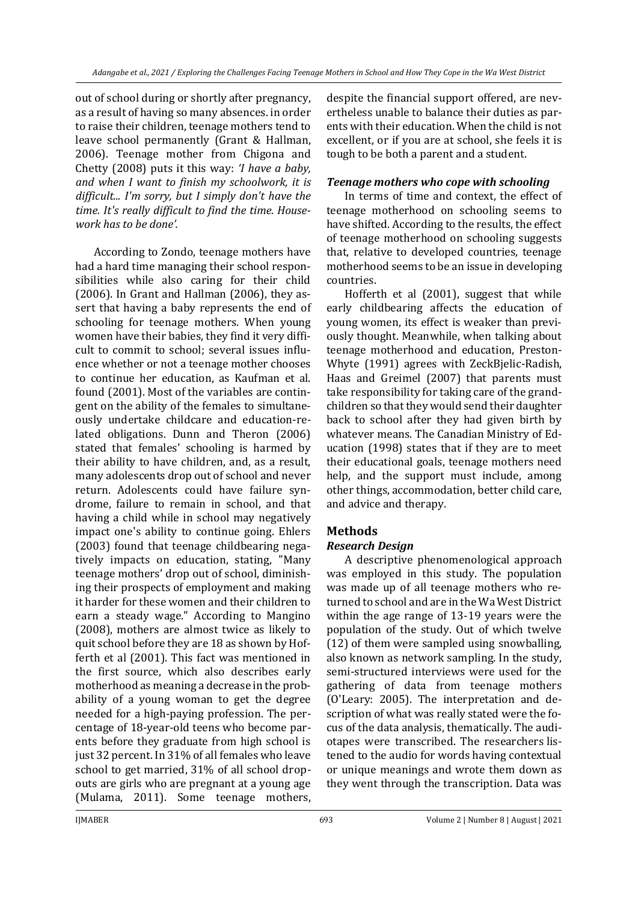out of school during or shortly after pregnancy, as a result of having so many absences. in order to raise their children, teenage mothers tend to leave school permanently (Grant & Hallman, 2006). Teenage mother from Chigona and Chetty (2008) puts it this way: *'I have a baby, and when I want to finish my schoolwork, it is difficult... I'm sorry, but I simply don't have the time. It's really difficult to find the time. Housework has to be done'.*

According to Zondo, teenage mothers have had a hard time managing their school responsibilities while also caring for their child (2006). In Grant and Hallman (2006), they assert that having a baby represents the end of schooling for teenage mothers. When young women have their babies, they find it very difficult to commit to school; several issues influence whether or not a teenage mother chooses to continue her education, as Kaufman et al. found (2001). Most of the variables are contingent on the ability of the females to simultaneously undertake childcare and education-related obligations. Dunn and Theron (2006) stated that females' schooling is harmed by their ability to have children, and, as a result, many adolescents drop out of school and never return. Adolescents could have failure syndrome, failure to remain in school, and that having a child while in school may negatively impact one's ability to continue going. Ehlers (2003) found that teenage childbearing negatively impacts on education, stating, "Many teenage mothers' drop out of school, diminishing their prospects of employment and making it harder for these women and their children to earn a steady wage." According to Mangino (2008), mothers are almost twice as likely to quit school before they are 18 as shown by Hofferth et al (2001). This fact was mentioned in the first source, which also describes early motherhood as meaning a decrease in the probability of a young woman to get the degree needed for a high-paying profession. The percentage of 18-year-old teens who become parents before they graduate from high school is just 32 percent. In 31% of all females who leave school to get married, 31% of all school dropouts are girls who are pregnant at a young age (Mulama, 2011). Some teenage mothers,

despite the financial support offered, are nevertheless unable to balance their duties as parents with their education. When the child is not excellent, or if you are at school, she feels it is tough to be both a parent and a student.

#### *Teenage mothers who cope with schooling*

In terms of time and context, the effect of teenage motherhood on schooling seems to have shifted. According to the results, the effect of teenage motherhood on schooling suggests that, relative to developed countries, teenage motherhood seems to be an issue in developing countries.

Hofferth et al (2001), suggest that while early childbearing affects the education of young women, its effect is weaker than previously thought. Meanwhile, when talking about teenage motherhood and education, Preston-Whyte (1991) agrees with ZeckBjelic-Radish, Haas and Greimel (2007) that parents must take responsibility for taking care of the grandchildren so that they would send their daughter back to school after they had given birth by whatever means. The Canadian Ministry of Education (1998) states that if they are to meet their educational goals, teenage mothers need help, and the support must include, among other things, accommodation, better child care, and advice and therapy.

# **Methods**

#### *Research Design*

A descriptive phenomenological approach was employed in this study. The population was made up of all teenage mothers who returned to school and are in the Wa West District within the age range of 13-19 years were the population of the study. Out of which twelve (12) of them were sampled using snowballing, also known as network sampling. In the study, semi-structured interviews were used for the gathering of data from teenage mothers (O'Leary: 2005). The interpretation and description of what was really stated were the focus of the data analysis, thematically. The audiotapes were transcribed. The researchers listened to the audio for words having contextual or unique meanings and wrote them down as they went through the transcription. Data was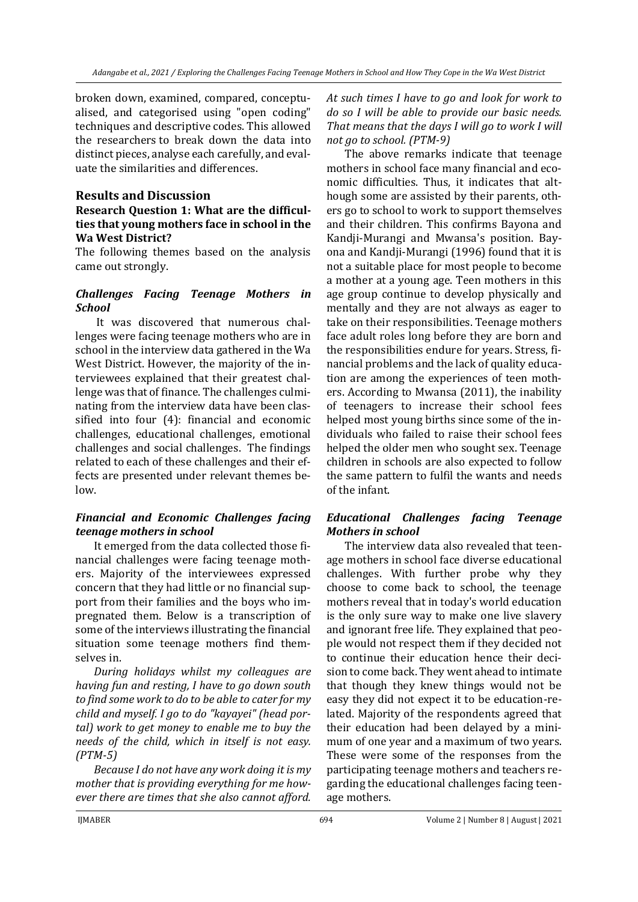broken down, examined, compared, conceptualised, and categorised using "open coding" techniques and descriptive codes. This allowed the researchers to break down the data into distinct pieces, analyse each carefully, and evaluate the similarities and differences.

### **Results and Discussion**

#### **Research Question 1: What are the difficulties that young mothers face in school in the Wa West District?**

The following themes based on the analysis came out strongly.

### *Challenges Facing Teenage Mothers in School*

It was discovered that numerous challenges were facing teenage mothers who are in school in the interview data gathered in the Wa West District. However, the majority of the interviewees explained that their greatest challenge was that of finance. The challenges culminating from the interview data have been classified into four (4): financial and economic challenges, educational challenges, emotional challenges and social challenges. The findings related to each of these challenges and their effects are presented under relevant themes below.

# *Financial and Economic Challenges facing teenage mothers in school*

It emerged from the data collected those financial challenges were facing teenage mothers. Majority of the interviewees expressed concern that they had little or no financial support from their families and the boys who impregnated them. Below is a transcription of some of the interviews illustrating the financial situation some teenage mothers find themselves in.

*During holidays whilst my colleagues are having fun and resting, I have to go down south to find some work to do to be able to cater for my child and myself. I go to do "kayayei" (head portal) work to get money to enable me to buy the needs of the child, which in itself is not easy. (PTM-5)*

*Because I do not have any work doing it is my mother that is providing everything for me however there are times that she also cannot afford.*  *At such times I have to go and look for work to do so I will be able to provide our basic needs. That means that the days I will go to work I will not go to school. (PTM-9)*

The above remarks indicate that teenage mothers in school face many financial and economic difficulties. Thus, it indicates that although some are assisted by their parents, others go to school to work to support themselves and their children. This confirms Bayona and Kandji-Murangi and Mwansa's position. Bayona and Kandji-Murangi (1996) found that it is not a suitable place for most people to become a mother at a young age. Teen mothers in this age group continue to develop physically and mentally and they are not always as eager to take on their responsibilities. Teenage mothers face adult roles long before they are born and the responsibilities endure for years. Stress, financial problems and the lack of quality education are among the experiences of teen mothers. According to Mwansa (2011), the inability of teenagers to increase their school fees helped most young births since some of the individuals who failed to raise their school fees helped the older men who sought sex. Teenage children in schools are also expected to follow the same pattern to fulfil the wants and needs of the infant.

# *Educational Challenges facing Teenage Mothers in school*

The interview data also revealed that teenage mothers in school face diverse educational challenges. With further probe why they choose to come back to school, the teenage mothers reveal that in today's world education is the only sure way to make one live slavery and ignorant free life. They explained that people would not respect them if they decided not to continue their education hence their decision to come back. They went ahead to intimate that though they knew things would not be easy they did not expect it to be education-related. Majority of the respondents agreed that their education had been delayed by a minimum of one year and a maximum of two years. These were some of the responses from the participating teenage mothers and teachers regarding the educational challenges facing teenage mothers.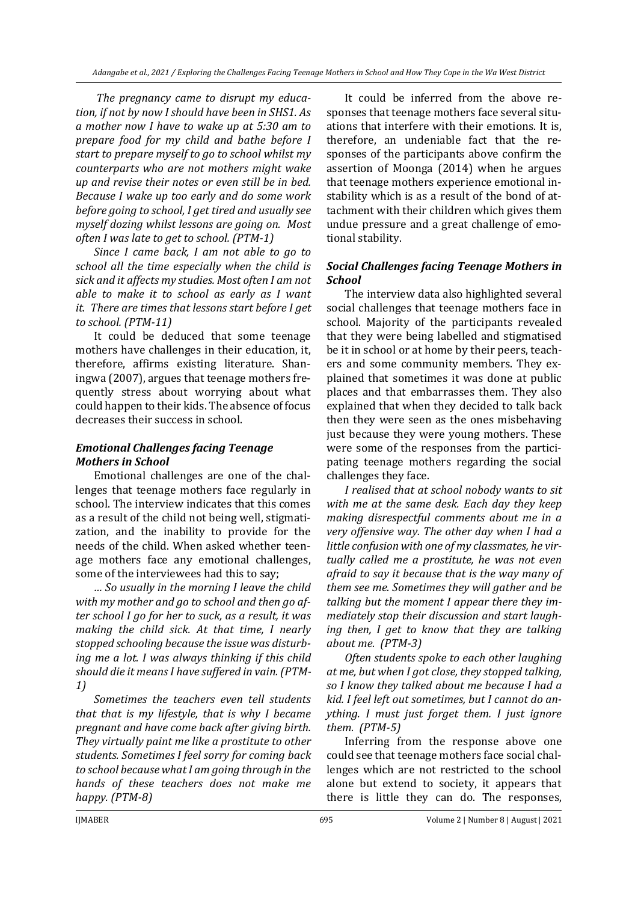*The pregnancy came to disrupt my education, if not by now I should have been in SHS1. As a mother now I have to wake up at 5:30 am to prepare food for my child and bathe before I start to prepare myself to go to school whilst my counterparts who are not mothers might wake up and revise their notes or even still be in bed. Because I wake up too early and do some work before going to school, I get tired and usually see myself dozing whilst lessons are going on. Most often I was late to get to school. (PTM-1)*

*Since I came back, I am not able to go to school all the time especially when the child is sick and it affects my studies. Most often I am not able to make it to school as early as I want it. There are times that lessons start before I get to school. (PTM-11)*

It could be deduced that some teenage mothers have challenges in their education, it, therefore, affirms existing literature. Shaningwa (2007), argues that teenage mothers frequently stress about worrying about what could happen to their kids. The absence of focus decreases their success in school.

# *Emotional Challenges facing Teenage Mothers in School*

Emotional challenges are one of the challenges that teenage mothers face regularly in school. The interview indicates that this comes as a result of the child not being well, stigmatization, and the inability to provide for the needs of the child. When asked whether teenage mothers face any emotional challenges, some of the interviewees had this to say;

*… So usually in the morning I leave the child with my mother and go to school and then go after school I go for her to suck, as a result, it was making the child sick. At that time, I nearly stopped schooling because the issue was disturbing me a lot. I was always thinking if this child should die it means I have suffered in vain. (PTM-1)*

*Sometimes the teachers even tell students that that is my lifestyle, that is why I became pregnant and have come back after giving birth. They virtually paint me like a prostitute to other students. Sometimes I feel sorry for coming back to school because what I am going through in the hands of these teachers does not make me happy. (PTM-8)*

It could be inferred from the above responses that teenage mothers face several situations that interfere with their emotions. It is, therefore, an undeniable fact that the responses of the participants above confirm the assertion of Moonga (2014) when he argues that teenage mothers experience emotional instability which is as a result of the bond of attachment with their children which gives them undue pressure and a great challenge of emotional stability.

### *Social Challenges facing Teenage Mothers in School*

The interview data also highlighted several social challenges that teenage mothers face in school. Majority of the participants revealed that they were being labelled and stigmatised be it in school or at home by their peers, teachers and some community members. They explained that sometimes it was done at public places and that embarrasses them. They also explained that when they decided to talk back then they were seen as the ones misbehaving just because they were young mothers. These were some of the responses from the participating teenage mothers regarding the social challenges they face.

*I realised that at school nobody wants to sit with me at the same desk. Each day they keep making disrespectful comments about me in a very offensive way. The other day when I had a little confusion with one of my classmates, he virtually called me a prostitute, he was not even afraid to say it because that is the way many of them see me. Sometimes they will gather and be talking but the moment I appear there they immediately stop their discussion and start laughing then, I get to know that they are talking about me. (PTM-3)*

*Often students spoke to each other laughing at me, but when I got close, they stopped talking, so I know they talked about me because I had a kid. I feel left out sometimes, but I cannot do anything. I must just forget them. I just ignore them. (PTM-5)*

Inferring from the response above one could see that teenage mothers face social challenges which are not restricted to the school alone but extend to society, it appears that there is little they can do. The responses,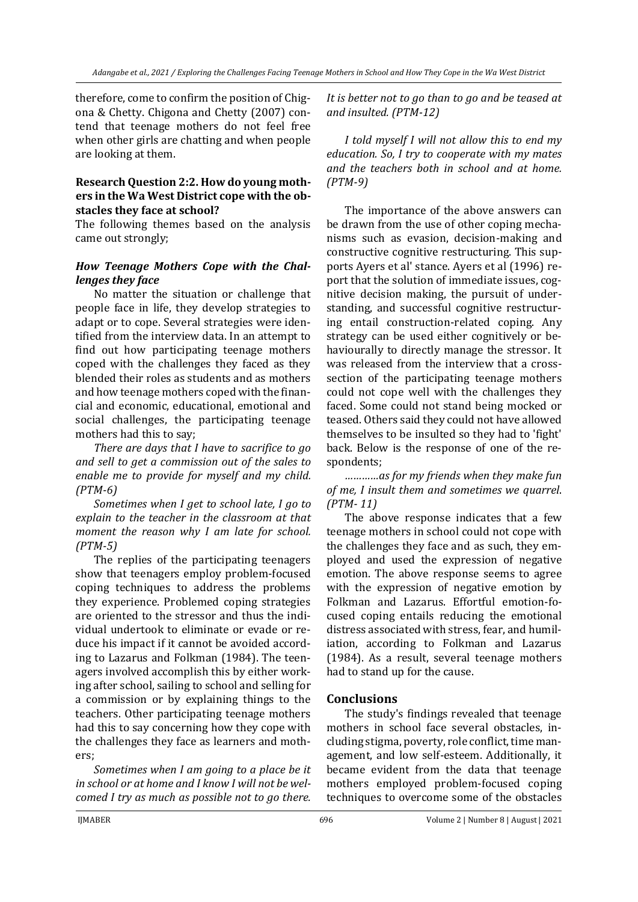therefore, come to confirm the position of Chigona & Chetty. Chigona and Chetty (2007) contend that teenage mothers do not feel free when other girls are chatting and when people are looking at them.

#### **Research Question 2:2. How do young mothers in the Wa West District cope with the obstacles they face at school?**

The following themes based on the analysis came out strongly;

### *How Teenage Mothers Cope with the Challenges they face*

No matter the situation or challenge that people face in life, they develop strategies to adapt or to cope. Several strategies were identified from the interview data. In an attempt to find out how participating teenage mothers coped with the challenges they faced as they blended their roles as students and as mothers and how teenage mothers coped with the financial and economic, educational, emotional and social challenges, the participating teenage mothers had this to say;

*There are days that I have to sacrifice to go and sell to get a commission out of the sales to enable me to provide for myself and my child. (PTM-6)*

*Sometimes when I get to school late, I go to explain to the teacher in the classroom at that moment the reason why I am late for school. (PTM-5)*

The replies of the participating teenagers show that teenagers employ problem-focused coping techniques to address the problems they experience. Problemed coping strategies are oriented to the stressor and thus the individual undertook to eliminate or evade or reduce his impact if it cannot be avoided according to Lazarus and Folkman (1984). The teenagers involved accomplish this by either working after school, sailing to school and selling for a commission or by explaining things to the teachers. Other participating teenage mothers had this to say concerning how they cope with the challenges they face as learners and mothers;

*Sometimes when I am going to a place be it in school or at home and I know I will not be welcomed I try as much as possible not to go there.* 

*It is better not to go than to go and be teased at and insulted. (PTM-12)*

*I told myself I will not allow this to end my education. So, I try to cooperate with my mates and the teachers both in school and at home. (PTM-9)*

The importance of the above answers can be drawn from the use of other coping mechanisms such as evasion, decision-making and constructive cognitive restructuring. This supports Ayers et al' stance. Ayers et al (1996) report that the solution of immediate issues, cognitive decision making, the pursuit of understanding, and successful cognitive restructuring entail construction-related coping. Any strategy can be used either cognitively or behaviourally to directly manage the stressor. It was released from the interview that a crosssection of the participating teenage mothers could not cope well with the challenges they faced. Some could not stand being mocked or teased. Others said they could not have allowed themselves to be insulted so they had to 'fight' back. Below is the response of one of the respondents;

*…………as for my friends when they make fun of me, I insult them and sometimes we quarrel*. *(PTM- 11)*

The above response indicates that a few teenage mothers in school could not cope with the challenges they face and as such, they employed and used the expression of negative emotion. The above response seems to agree with the expression of negative emotion by Folkman and Lazarus. Effortful emotion-focused coping entails reducing the emotional distress associated with stress, fear, and humiliation, according to Folkman and Lazarus (1984). As a result, several teenage mothers had to stand up for the cause.

# **Conclusions**

The study's findings revealed that teenage mothers in school face several obstacles, including stigma, poverty, role conflict, time management, and low self-esteem. Additionally, it became evident from the data that teenage mothers employed problem-focused coping techniques to overcome some of the obstacles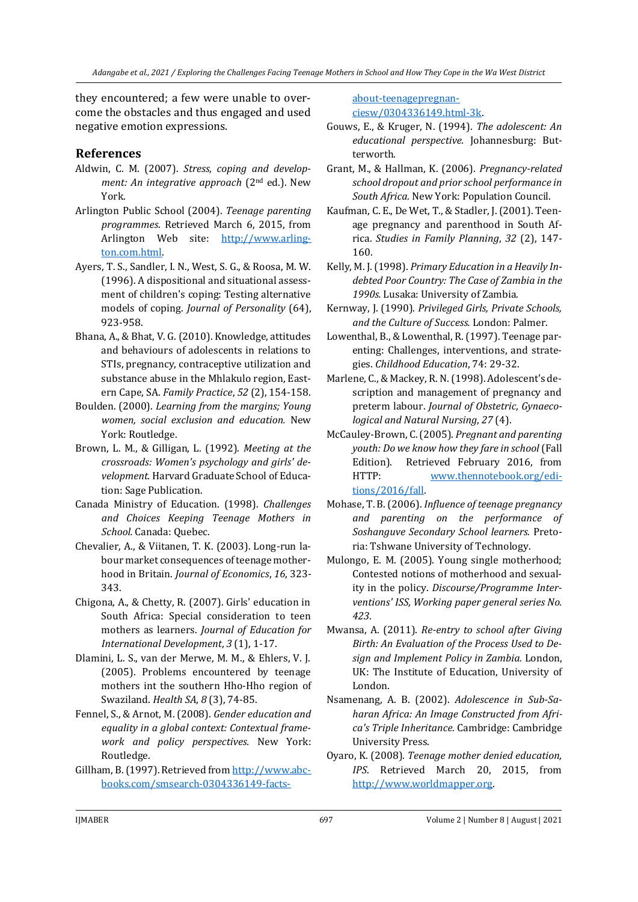they encountered; a few were unable to overcome the obstacles and thus engaged and used negative emotion expressions.

### **References**

- Aldwin, C. M. (2007). *Stress, coping and development: An integrative approach* (2nd ed.). New York.
- Arlington Public School (2004). *Teenage parenting programmes*. Retrieved March 6, 2015, from Arlington Web site: [http://www.arling](http://www.arlington.com.html/)[ton.com.html.](http://www.arlington.com.html/)
- Ayers, T. S., Sandler, I. N., West, S. G., & Roosa, M. W. (1996). A dispositional and situational assessment of children's coping: Testing alternative models of coping. *Journal of Personality* (64), 923-958.
- Bhana, A., & Bhat, V. G. (2010). Knowledge, attitudes and behaviours of adolescents in relations to STIs, pregnancy, contraceptive utilization and substance abuse in the Mhlakulo region, Eastern Cape, SA. *Family Practice*, *52* (2), 154-158.
- Boulden. (2000). *Learning from the margins; Young women, social exclusion and education.* New York: Routledge.
- Brown, L. M., & Gilligan, L. (1992). *Meeting at the crossroads: Women's psychology and girls' development.* Harvard Graduate School of Education: Sage Publication.
- Canada Ministry of Education. (1998). *Challenges and Choices Keeping Teenage Mothers in School.* Canada: Quebec.
- Chevalier, A., & Viitanen, T. K. (2003). Long-run labour market consequences of teenage motherhood in Britain. *Journal of Economics*, *16*, 323- 343.
- Chigona, A., & Chetty, R. (2007). Girls' education in South Africa: Special consideration to teen mothers as learners. *Journal of Education for International Development*, *3* (1), 1-17.
- Dlamini, L. S., van der Merwe, M. M., & Ehlers, V. J. (2005). Problems encountered by teenage mothers int the southern Hho-Hho region of Swaziland. *Health SA*, *8* (3), 74-85.
- Fennel, S., & Arnot, M. (2008). *Gender education and equality in a global context: Contextual framework and policy perspectives.* New York: Routledge.
- Gillham, B. (1997). Retrieved fro[m http://www.abc](http://www.abcbooks.com/smsearch-0304336149-facts-about-teenagepregnanciesw/0304336149.html-3k)[books.com/smsearch-0304336149-facts-](http://www.abcbooks.com/smsearch-0304336149-facts-about-teenagepregnanciesw/0304336149.html-3k)

[about-teenagepregnan](http://www.abcbooks.com/smsearch-0304336149-facts-about-teenagepregnanciesw/0304336149.html-3k)[ciesw/0304336149.html-3k.](http://www.abcbooks.com/smsearch-0304336149-facts-about-teenagepregnanciesw/0304336149.html-3k)

- Gouws, E., & Kruger, N. (1994). *The adolescent: An educational perspective.* Johannesburg: Butterworth.
- Grant, M., & Hallman, K. (2006). *Pregnancy-related school dropout and prior school performance in South Africa.* New York: Population Council.
- Kaufman, C. E., De Wet, T., & Stadler, J. (2001). Teenage pregnancy and parenthood in South Africa. *Studies in Family Planning*, *32* (2), 147- 160.
- Kelly, M. J. (1998). *Primary Education in a Heavily Indebted Poor Country: The Case of Zambia in the 1990s.* Lusaka: University of Zambia.
- Kernway, J. (1990). *Privileged Girls, Private Schools, and the Culture of Success.* London: Palmer.
- Lowenthal, B., & Lowenthal, R. (1997). Teenage parenting: Challenges, interventions, and strategies. *Childhood Education*, 74: 29-32.
- Marlene, C., & Mackey, R. N. (1998). Adolescent's description and management of pregnancy and preterm labour. *Journal of Obstetric, Gynaecological and Natural Nursing*, *27* (4).
- McCauley-Brown, C. (2005). *Pregnant and parenting youth: Do we know how they fare in school* (Fall Edition). Retrieved February 2016, from HTTP: [www.thennotebook.org/edi](www.thennotebook.org/editions/2016/fall)[tions/2016/fall.](www.thennotebook.org/editions/2016/fall)
- Mohase, T. B. (2006). *Influence of teenage pregnancy and parenting on the performance of Soshanguve Secondary School learners.* Pretoria: Tshwane University of Technology.
- Mulongo, E. M. (2005). Young single motherhood; Contested notions of motherhood and sexuality in the policy. *Discourse/Programme Interventions' ISS, Working paper general series No. 423*.
- Mwansa, A. (2011). *Re-entry to school after Giving Birth: An Evaluation of the Process Used to Design and Implement Policy in Zambia.* London, UK: The Institute of Education, University of London.
- Nsamenang, A. B. (2002). *Adolescence in Sub-Saharan Africa: An Image Constructed from Africa's Triple Inheritance.* Cambridge: Cambridge University Press.
- Oyaro, K. (2008). *Teenage mother denied education, IPS*. Retrieved March 20, 2015, from [http://www.worldmapper.org.](http://www.worldmapper.org/)